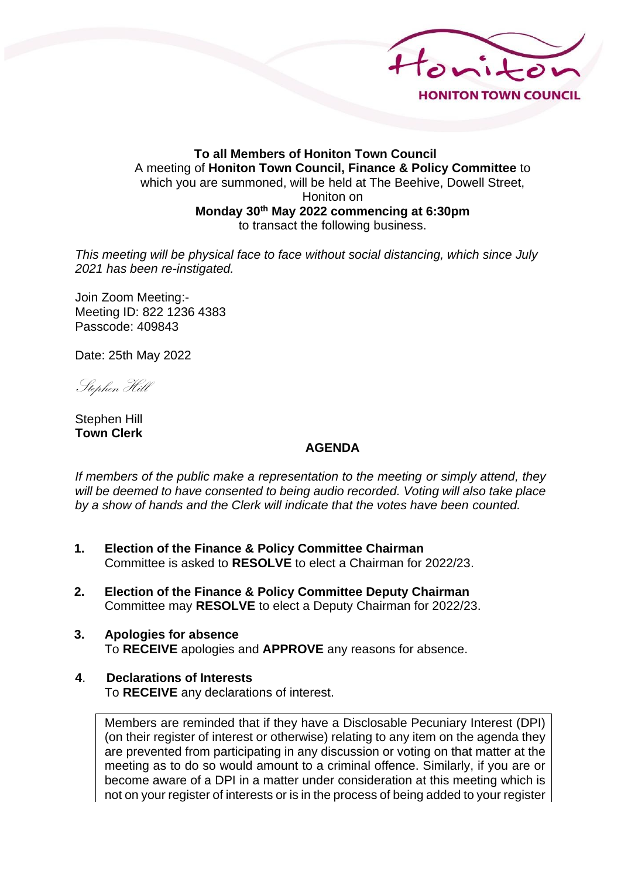

#### **To all Members of Honiton Town Council** A meeting of **Honiton Town Council, Finance & Policy Committee** to which you are summoned, will be held at The Beehive, Dowell Street, Honiton on **Monday 30th May 2022 commencing at 6:30pm** to transact the following business.

*This meeting will be physical face to face without social distancing, which since July 2021 has been re-instigated.*

Join Zoom Meeting:- Meeting ID: 822 1236 4383 Passcode: 409843

Date: 25th May 2022

Stephen Hill

Stephen Hill **Town Clerk**

#### **AGENDA**

*If members of the public make a representation to the meeting or simply attend, they will be deemed to have consented to being audio recorded. Voting will also take place by a show of hands and the Clerk will indicate that the votes have been counted.*

- **1. Election of the Finance & Policy Committee Chairman** Committee is asked to **RESOLVE** to elect a Chairman for 2022/23.
- **2. Election of the Finance & Policy Committee Deputy Chairman** Committee may **RESOLVE** to elect a Deputy Chairman for 2022/23.
- **3. Apologies for absence** To **RECEIVE** apologies and **APPROVE** any reasons for absence.

## **4**. **Declarations of Interests**

To **RECEIVE** any declarations of interest.

Members are reminded that if they have a Disclosable Pecuniary Interest (DPI) (on their register of interest or otherwise) relating to any item on the agenda they are prevented from participating in any discussion or voting on that matter at the meeting as to do so would amount to a criminal offence. Similarly, if you are or become aware of a DPI in a matter under consideration at this meeting which is not on your register of interests or is in the process of being added to your register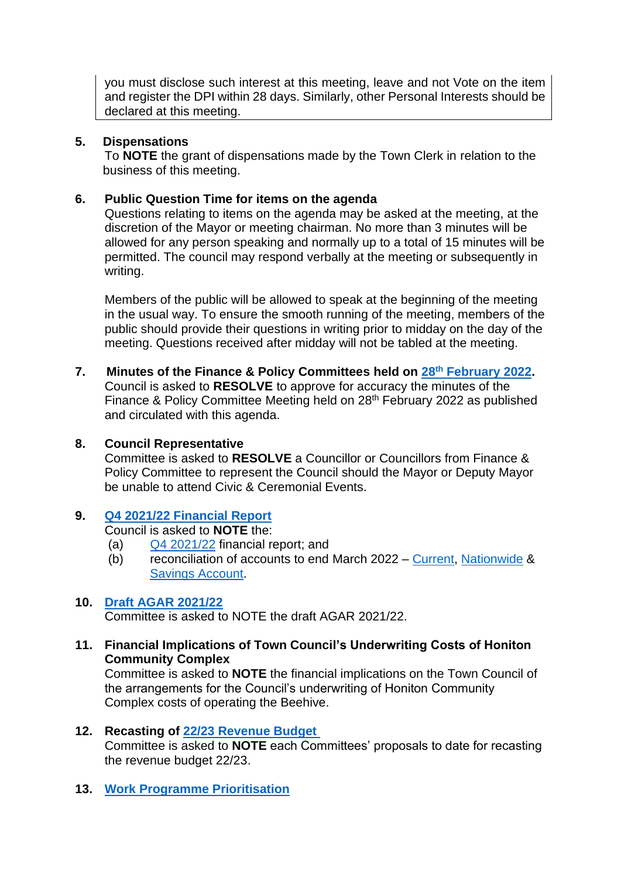you must disclose such interest at this meeting, leave and not Vote on the item and register the DPI within 28 days. Similarly, other Personal Interests should be declared at this meeting.

## **5. Dispensations**

To **NOTE** the grant of dispensations made by the Town Clerk in relation to the business of this meeting.

### **6. Public Question Time for items on the agenda**

Questions relating to items on the agenda may be asked at the meeting, at the discretion of the Mayor or meeting chairman. No more than 3 minutes will be allowed for any person speaking and normally up to a total of 15 minutes will be permitted. The council may respond verbally at the meeting or subsequently in writing.

Members of the public will be allowed to speak at the beginning of the meeting in the usual way. To ensure the smooth running of the meeting, members of the public should provide their questions in writing prior to midday on the day of the meeting. Questions received after midday will not be tabled at the meeting.

**7. Minutes of the Finance & Policy Committees held on 28th [February 2022.](http://www.honiton.gov.uk/Sites/2819/_UserFiles/Files/_Agendas/Finance%20Policy/2022/30th%20May/FP%20Minutes%2028.02.21%20-%20public%20copy.pdf)** Council is asked to **RESOLVE** to approve for accuracy the minutes of the Finance & Policy Committee Meeting held on 28<sup>th</sup> February 2022 as published and circulated with this agenda.

### **8. Council Representative**

Committee is asked to **RESOLVE** a Councillor or Councillors from Finance & Policy Committee to represent the Council should the Mayor or Deputy Mayor be unable to attend Civic & Ceremonial Events.

# **9. Q4 [2021/22 Financial Report](http://www.honiton.gov.uk/Sites/2819/_UserFiles/Files/_Agendas/Finance%20Policy/2022/30th%20May/Agenda%20item%209%20Report%20FC%2013%20June%202022%20Q4%20Report.pdf)**

Council is asked to **NOTE** the:

- (a) Q4 [2021/22](http://www.honiton.gov.uk/Sites/2819/_UserFiles/Files/_Agendas/Finance%20Policy/2022/30th%20May/Annual%20Budget%20-%20By%20Centre-Actual%20YTD%20Month%2012%20Q4.PDF) financial report; and
- (b) reconciliation of accounts to end March 2022 [Current,](http://www.honiton.gov.uk/Sites/2819/_UserFiles/Files/Bank%20Reconciliation%20March%2022%20-%20Cashbook%201.PDF) [Nationwide](http://www.honiton.gov.uk/Sites/2819/_UserFiles/Files/Bank%20Reconciliation%20March%2022%20-%20Nationwide.PDF) & [Savings Account.](http://www.honiton.gov.uk/Sites/2819/_UserFiles/Files/Bank%20Reconciliation%20March%2022%20-%20Cashbook%202.PDF)

### **10. [Draft AGAR 2021/22](http://www.honiton.gov.uk/Sites/2819/_UserFiles/Files/_Agendas/Finance%20Policy/2022/30th%20May/Annual-Return-Form3-2021-22_e.pdf)**

Committee is asked to NOTE the draft AGAR 2021/22.

**11. Financial Implications of Town Council's Underwriting Costs of Honiton Community Complex**

Committee is asked to **NOTE** the financial implications on the Town Council of the arrangements for the Council's underwriting of Honiton Community Complex costs of operating the Beehive.

### **12. Recasting of [22/23 Revenue Budget](http://www.honiton.gov.uk/Sites/2819/_UserFiles/Files/BUDGET%20FOR%20YEAR%202022-2023%20Rev2.pdf)**

Committee is asked to **NOTE** each Committees' proposals to date for recasting the revenue budget 22/23.

### **13. [Work Programme Prioritisation](http://www.honiton.gov.uk/Sites/2819/_UserFiles/Files/_Agendas/Finance%20Policy/2022/30th%20May/v5%20Project%20review%20and%20prioritisation%20Work%20Programme.pdf)**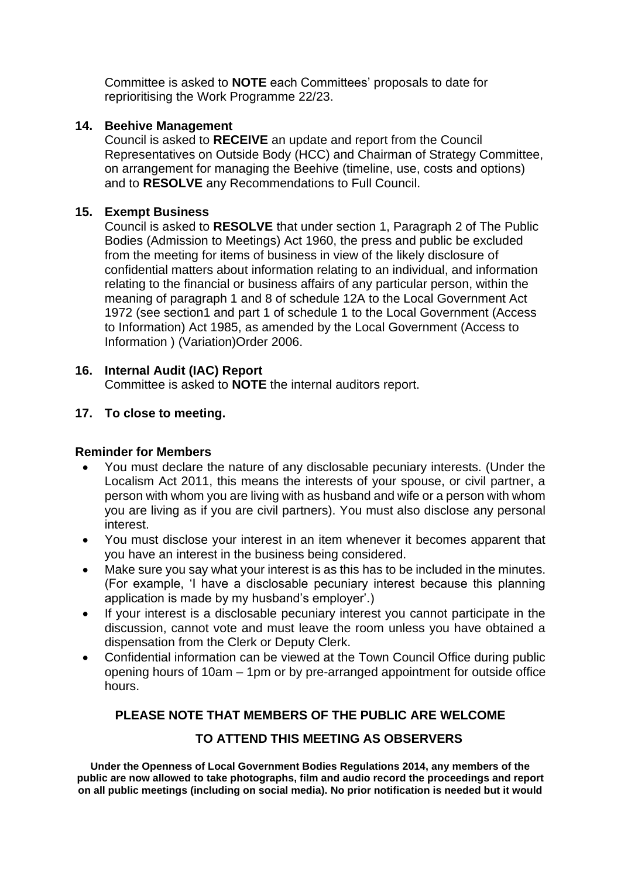Committee is asked to **NOTE** each Committees' proposals to date for reprioritising the Work Programme 22/23.

## **14. Beehive Management**

Council is asked to **RECEIVE** an update and report from the Council Representatives on Outside Body (HCC) and Chairman of Strategy Committee, on arrangement for managing the Beehive (timeline, use, costs and options) and to **RESOLVE** any Recommendations to Full Council.

### **15. Exempt Business**

Council is asked to **RESOLVE** that under section 1, Paragraph 2 of The Public Bodies (Admission to Meetings) Act 1960, the press and public be excluded from the meeting for items of business in view of the likely disclosure of confidential matters about information relating to an individual, and information relating to the financial or business affairs of any particular person, within the meaning of paragraph 1 and 8 of schedule 12A to the Local Government Act 1972 (see section1 and part 1 of schedule 1 to the Local Government (Access to Information) Act 1985, as amended by the Local Government (Access to Information ) (Variation)Order 2006.

# **16. Internal Audit (IAC) Report**

Committee is asked to **NOTE** the internal auditors report.

### **17. To close to meeting.**

### **Reminder for Members**

- You must declare the nature of any disclosable pecuniary interests. (Under the Localism Act 2011, this means the interests of your spouse, or civil partner, a person with whom you are living with as husband and wife or a person with whom you are living as if you are civil partners). You must also disclose any personal interest.
- You must disclose your interest in an item whenever it becomes apparent that you have an interest in the business being considered.
- Make sure you say what your interest is as this has to be included in the minutes. (For example, 'I have a disclosable pecuniary interest because this planning application is made by my husband's employer'.)
- If your interest is a disclosable pecuniary interest you cannot participate in the discussion, cannot vote and must leave the room unless you have obtained a dispensation from the Clerk or Deputy Clerk.
- Confidential information can be viewed at the Town Council Office during public opening hours of 10am – 1pm or by pre-arranged appointment for outside office hours.

# **PLEASE NOTE THAT MEMBERS OF THE PUBLIC ARE WELCOME**

# **TO ATTEND THIS MEETING AS OBSERVERS**

**Under the Openness of Local Government Bodies Regulations 2014, any members of the public are now allowed to take photographs, film and audio record the proceedings and report on all public meetings (including on social media). No prior notification is needed but it would**